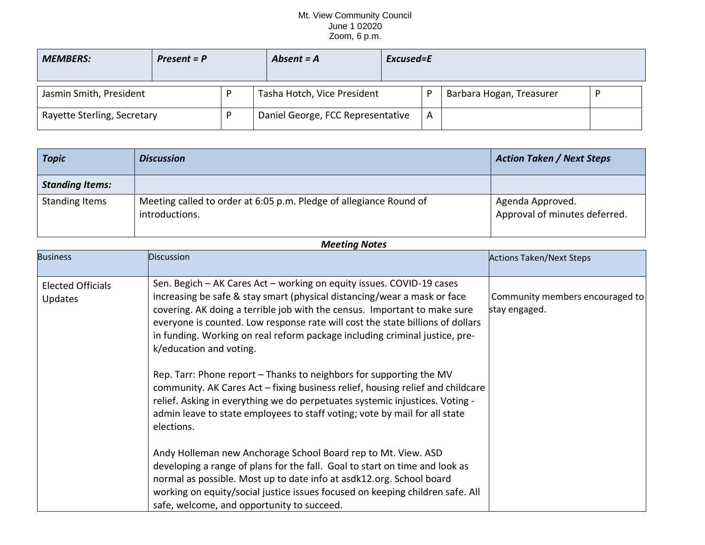## Mt. View Community Council June 1 02020 Zoom, 6 p.m.

| <b>MEMBERS:</b>             | $Present = P$ |  | Absent = A                        | Excused=E |   |                          |  |
|-----------------------------|---------------|--|-----------------------------------|-----------|---|--------------------------|--|
| Jasmin Smith, President     |               |  | Tasha Hotch, Vice President       |           |   | Barbara Hogan, Treasurer |  |
| Rayette Sterling, Secretary |               |  | Daniel George, FCC Representative |           | A |                          |  |

| <b>Topic</b>           | <b>Discussion</b>                                                                    | <b>Action Taken / Next Steps</b>                  |
|------------------------|--------------------------------------------------------------------------------------|---------------------------------------------------|
| <b>Standing Items:</b> |                                                                                      |                                                   |
| Standing Items         | Meeting called to order at 6:05 p.m. Pledge of allegiance Round of<br>introductions. | Agenda Approved.<br>Approval of minutes deferred. |

## *Meeting Notes*

| <b>Business</b>                     | <b>Discussion</b>                                                                                                                                                                                                                                                                                                                                                                                                          | <b>Actions Taken/Next Steps</b>                  |
|-------------------------------------|----------------------------------------------------------------------------------------------------------------------------------------------------------------------------------------------------------------------------------------------------------------------------------------------------------------------------------------------------------------------------------------------------------------------------|--------------------------------------------------|
| <b>Elected Officials</b><br>Updates | Sen. Begich - AK Cares Act - working on equity issues. COVID-19 cases<br>increasing be safe & stay smart (physical distancing/wear a mask or face<br>covering. AK doing a terrible job with the census. Important to make sure<br>everyone is counted. Low response rate will cost the state billions of dollars<br>in funding. Working on real reform package including criminal justice, pre-<br>k/education and voting. | Community members encouraged to<br>stay engaged. |
|                                     | Rep. Tarr: Phone report – Thanks to neighbors for supporting the MV<br>community. AK Cares Act - fixing business relief, housing relief and childcare<br>relief. Asking in everything we do perpetuates systemic injustices. Voting -<br>admin leave to state employees to staff voting; vote by mail for all state<br>elections.                                                                                          |                                                  |
|                                     | Andy Holleman new Anchorage School Board rep to Mt. View. ASD<br>developing a range of plans for the fall. Goal to start on time and look as<br>normal as possible. Most up to date info at asdk12.org. School board<br>working on equity/social justice issues focused on keeping children safe. All<br>safe, welcome, and opportunity to succeed.                                                                        |                                                  |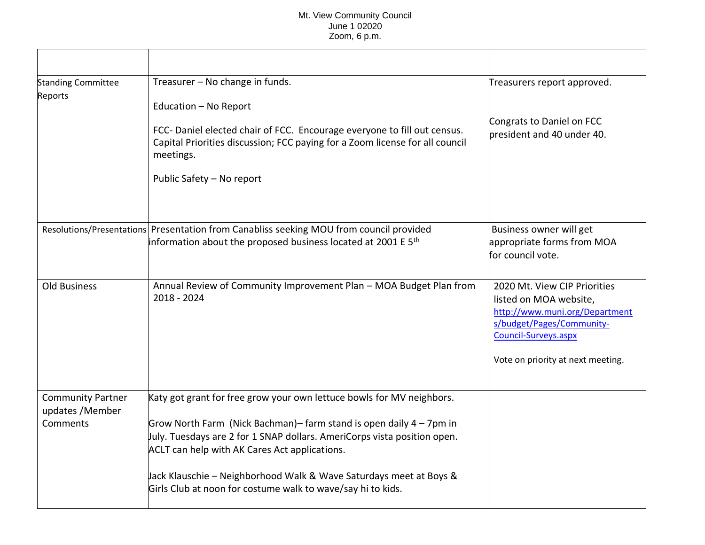## Mt. View Community Council June 1 02020 Zoom, 6 p.m.

| <b>Standing Committee</b><br>Reports                     | Treasurer - No change in funds.                                                                                                                                                                                                                                                                                                                                                                                       | Treasurers report approved.                                                                                                                                                        |
|----------------------------------------------------------|-----------------------------------------------------------------------------------------------------------------------------------------------------------------------------------------------------------------------------------------------------------------------------------------------------------------------------------------------------------------------------------------------------------------------|------------------------------------------------------------------------------------------------------------------------------------------------------------------------------------|
|                                                          | Education - No Report<br>FCC-Daniel elected chair of FCC. Encourage everyone to fill out census.<br>Capital Priorities discussion; FCC paying for a Zoom license for all council<br>meetings.<br>Public Safety - No report                                                                                                                                                                                            | Congrats to Daniel on FCC<br>bresident and 40 under 40.                                                                                                                            |
|                                                          | Resolutions/Presentations Presentation from Canabliss seeking MOU from council provided<br>information about the proposed business located at 2001 E $5th$                                                                                                                                                                                                                                                            | Business owner will get<br>appropriate forms from MOA<br>for council vote.                                                                                                         |
| Old Business                                             | Annual Review of Community Improvement Plan - MOA Budget Plan from<br>2018 - 2024                                                                                                                                                                                                                                                                                                                                     | 2020 Mt. View CIP Priorities<br>listed on MOA website,<br>http://www.muni.org/Department<br>s/budget/Pages/Community-<br>Council-Surveys.aspx<br>Vote on priority at next meeting. |
| <b>Community Partner</b><br>updates / Member<br>Comments | Katy got grant for free grow your own lettuce bowls for MV neighbors.<br>Grow North Farm (Nick Bachman)– farm stand is open daily 4 – 7pm in<br>July. Tuesdays are 2 for 1 SNAP dollars. AmeriCorps vista position open.<br><b>ACLT</b> can help with AK Cares Act applications.<br>Jack Klauschie – Neighborhood Walk & Wave Saturdays meet at Boys &<br>Girls Club at noon for costume walk to wave/say hi to kids. |                                                                                                                                                                                    |